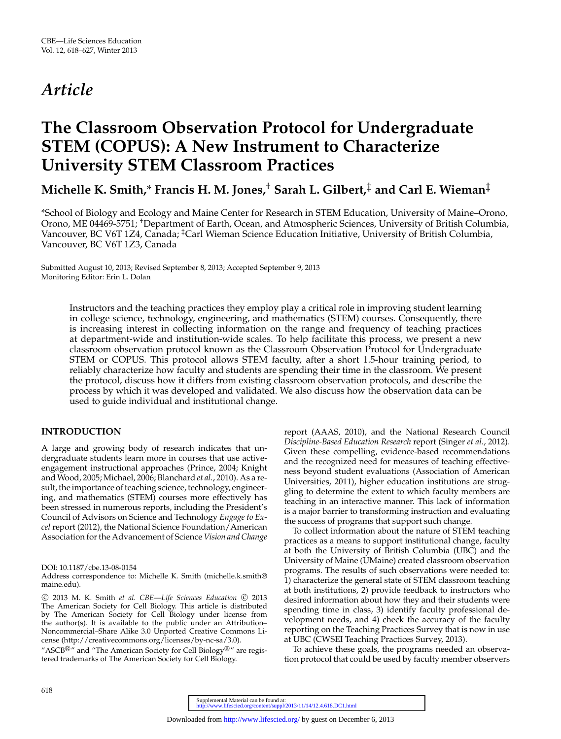# *Article*

## **The Classroom Observation Protocol for Undergraduate STEM (COPUS): A New Instrument to Characterize University STEM Classroom Practices**

## **Michelle K. Smith,**\* **Francis H. M. Jones,**† **Sarah L. Gilbert,**‡ **and Carl E. Wieman**‡

\*School of Biology and Ecology and Maine Center for Research in STEM Education, University of Maine–Orono, Orono, ME 04469-5751; †Department of Earth, Ocean, and Atmospheric Sciences, University of British Columbia, Vancouver, BC V6T 1Z4, Canada; <sup>‡</sup>Carl Wieman Science Education Initiative, University of British Columbia, Vancouver, BC V6T 1Z3, Canada

Submitted August 10, 2013; Revised September 8, 2013; Accepted September 9, 2013 Monitoring Editor: Erin L. Dolan

> Instructors and the teaching practices they employ play a critical role in improving student learning in college science, technology, engineering, and mathematics (STEM) courses. Consequently, there is increasing interest in collecting information on the range and frequency of teaching practices at department-wide and institution-wide scales. To help facilitate this process, we present a new classroom observation protocol known as the Classroom Observation Protocol for Undergraduate STEM or COPUS. This protocol allows STEM faculty, after a short 1.5-hour training period, to reliably characterize how faculty and students are spending their time in the classroom. We present the protocol, discuss how it differs from existing classroom observation protocols, and describe the process by which it was developed and validated. We also discuss how the observation data can be used to guide individual and institutional change.

## **INTRODUCTION**

A large and growing body of research indicates that undergraduate students learn more in courses that use activeengagement instructional approaches (Prince, 2004; Knight and Wood, 2005; Michael, 2006; Blanchard *et al.*, 2010). As a result, the importance of teaching science, technology, engineering, and mathematics (STEM) courses more effectively has been stressed in numerous reports, including the President's Council of Advisors on Science and Technology *Engage to Excel* report (2012), the National Science Foundation/American Association for the Advancement of Science *Vision and Change*

Address correspondence to: Michelle K. Smith (michelle.k.smith@ maine.edu).

© 2013 M. K. Smith et al. CBE—Life Sciences Education © 2013 The American Society for Cell Biology. This article is distributed by The American Society for Cell Biology under license from the author(s). It is available to the public under an Attribution– Noncommercial–Share Alike 3.0 Unported Creative Commons License [\(http://creativecommons.org/licenses/by-nc-sa/3.0\)](http://creativecommons.org/licenses/by-nc-sa/3.0).

"ASCB $\mathbb{B}$ " and "The American Society for Cell Biology $\mathbb{B}$ " are registered trademarks of The American Society for Cell Biology.

report (AAAS, 2010), and the National Research Council *Discipline-Based Education Research* report (Singer *et al.*, 2012). Given these compelling, evidence-based recommendations and the recognized need for measures of teaching effectiveness beyond student evaluations (Association of American Universities, 2011), higher education institutions are struggling to determine the extent to which faculty members are teaching in an interactive manner. This lack of information is a major barrier to transforming instruction and evaluating the success of programs that support such change.

To collect information about the nature of STEM teaching practices as a means to support institutional change, faculty at both the University of British Columbia (UBC) and the University of Maine (UMaine) created classroom observation programs. The results of such observations were needed to: 1) characterize the general state of STEM classroom teaching at both institutions, 2) provide feedback to instructors who desired information about how they and their students were spending time in class, 3) identify faculty professional development needs, and 4) check the accuracy of the faculty reporting on the Teaching Practices Survey that is now in use at UBC (CWSEI Teaching Practices Survey, 2013).

To achieve these goals, the programs needed an observation protocol that could be [used by faculty member observers](http://www.lifescied.org/content/suppl/2013/11/14/12.4.618.DC1.html)

DOI: 10.1187/cbe.13-08-0154

Supplemental Material can be found at:<br><http://www.lifescied.org/content/suppl/2013/11/14/12.4.618.DC1.html>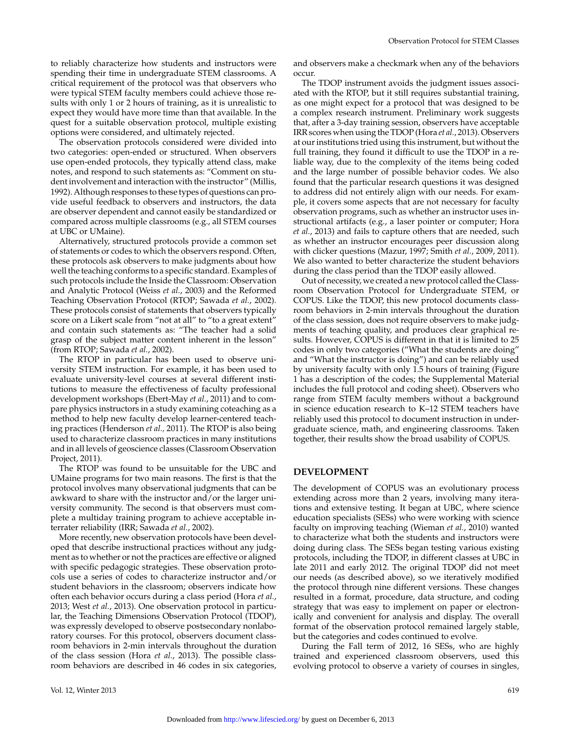to reliably characterize how students and instructors were spending their time in undergraduate STEM classrooms. A critical requirement of the protocol was that observers who were typical STEM faculty members could achieve those results with only 1 or 2 hours of training, as it is unrealistic to expect they would have more time than that available. In the quest for a suitable observation protocol, multiple existing options were considered, and ultimately rejected.

The observation protocols considered were divided into two categories: open-ended or structured. When observers use open-ended protocols, they typically attend class, make notes, and respond to such statements as: "Comment on student involvement and interaction with the instructor" (Millis, 1992). Although responses to these types of questions can provide useful feedback to observers and instructors, the data are observer dependent and cannot easily be standardized or compared across multiple classrooms (e.g., all STEM courses at UBC or UMaine).

Alternatively, structured protocols provide a common set of statements or codes to which the observers respond. Often, these protocols ask observers to make judgments about how well the teaching conforms to a specific standard. Examples of such protocols include the Inside the Classroom: Observation and Analytic Protocol (Weiss *et al.*, 2003) and the Reformed Teaching Observation Protocol (RTOP; Sawada *et al.*, 2002). These protocols consist of statements that observers typically score on a Likert scale from "not at all" to "to a great extent" and contain such statements as: "The teacher had a solid grasp of the subject matter content inherent in the lesson" (from RTOP; Sawada *et al.*, 2002).

The RTOP in particular has been used to observe university STEM instruction. For example, it has been used to evaluate university-level courses at several different institutions to measure the effectiveness of faculty professional development workshops (Ebert-May *et al.*, 2011) and to compare physics instructors in a study examining coteaching as a method to help new faculty develop learner-centered teaching practices (Henderson *et al.,* 2011). The RTOP is also being used to characterize classroom practices in many institutions and in all levels of geoscience classes (Classroom Observation Project, 2011).

The RTOP was found to be unsuitable for the UBC and UMaine programs for two main reasons. The first is that the protocol involves many observational judgments that can be awkward to share with the instructor and/or the larger university community. The second is that observers must complete a multiday training program to achieve acceptable interrater reliability (IRR; Sawada *et al.*, 2002).

More recently, new observation protocols have been developed that describe instructional practices without any judgment as to whether or not the practices are effective or aligned with specific pedagogic strategies. These observation protocols use a series of codes to characterize instructor and/or student behaviors in the classroom; observers indicate how often each behavior occurs during a class period (Hora *et al.*, 2013; West *et al.*, 2013). One observation protocol in particular, the Teaching Dimensions Observation Protocol (TDOP), was expressly developed to observe postsecondary nonlaboratory courses. For this protocol, observers document classroom behaviors in 2-min intervals throughout the duration of the class session (Hora *et al.*, 2013). The possible classroom behaviors are described in 46 codes in six categories, and observers make a checkmark when any of the behaviors occur.

The TDOP instrument avoids the judgment issues associated with the RTOP, but it still requires substantial training, as one might expect for a protocol that was designed to be a complex research instrument. Preliminary work suggests that, after a 3-day training session, observers have acceptable IRR scores when using the TDOP (Hora *et al.*, 2013). Observers at our institutions tried using this instrument, but without the full training, they found it difficult to use the TDOP in a reliable way, due to the complexity of the items being coded and the large number of possible behavior codes. We also found that the particular research questions it was designed to address did not entirely align with our needs. For example, it covers some aspects that are not necessary for faculty observation programs, such as whether an instructor uses instructional artifacts (e.g., a laser pointer or computer; Hora *et al.*, 2013) and fails to capture others that are needed, such as whether an instructor encourages peer discussion along with clicker questions (Mazur, 1997; Smith *et al.*, 2009, 2011). We also wanted to better characterize the student behaviors during the class period than the TDOP easily allowed.

Out of necessity, we created a new protocol called the Classroom Observation Protocol for Undergraduate STEM, or COPUS. Like the TDOP, this new protocol documents classroom behaviors in 2-min intervals throughout the duration of the class session, does not require observers to make judgments of teaching quality, and produces clear graphical results. However, COPUS is different in that it is limited to 25 codes in only two categories ("What the students are doing" and "What the instructor is doing") and can be reliably used by university faculty with only 1.5 hours of training (Figure 1 has a description of the codes; the Supplemental Material includes the full protocol and coding sheet). Observers who range from STEM faculty members without a background in science education research to K–12 STEM teachers have reliably used this protocol to document instruction in undergraduate science, math, and engineering classrooms. Taken together, their results show the broad usability of COPUS.

#### **DEVELOPMENT**

The development of COPUS was an evolutionary process extending across more than 2 years, involving many iterations and extensive testing. It began at UBC, where science education specialists (SESs) who were working with science faculty on improving teaching (Wieman *et al.*, 2010) wanted to characterize what both the students and instructors were doing during class. The SESs began testing various existing protocols, including the TDOP, in different classes at UBC in late 2011 and early 2012. The original TDOP did not meet our needs (as described above), so we iteratively modified the protocol through nine different versions. These changes resulted in a format, procedure, data structure, and coding strategy that was easy to implement on paper or electronically and convenient for analysis and display. The overall format of the observation protocol remained largely stable, but the categories and codes continued to evolve.

During the Fall term of 2012, 16 SESs, who are highly trained and experienced classroom observers, used this evolving protocol to observe a variety of courses in singles,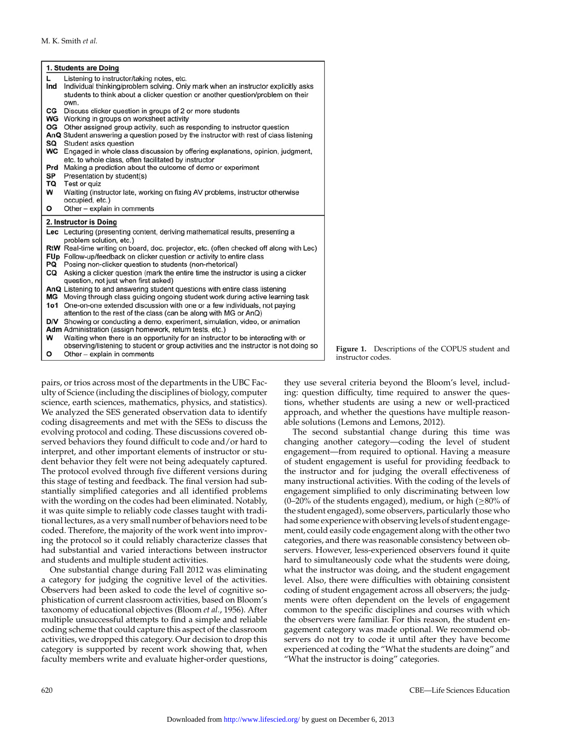|                  | 1. Students are Doing                                                                                                                                                     |
|------------------|---------------------------------------------------------------------------------------------------------------------------------------------------------------------------|
| L.               | Listening to instructor/taking notes, etc.                                                                                                                                |
| Ind              | Individual thinking/problem solving. Only mark when an instructor explicitly asks                                                                                         |
|                  | students to think about a clicker question or another question/problem on their                                                                                           |
|                  | own.                                                                                                                                                                      |
| CG<br>WG         | Discuss clicker question in groups of 2 or more students<br>Working in groups on worksheet activity                                                                       |
| OG               | Other assigned group activity, such as responding to instructor question                                                                                                  |
|                  | AnQ Student answering a question posed by the instructor with rest of class listening                                                                                     |
| SQ               | Student asks question                                                                                                                                                     |
| WC               | Engaged in whole class discussion by offering explanations, opinion, judgment,                                                                                            |
|                  | etc. to whole class, often facilitated by instructor                                                                                                                      |
| Prd              | Making a prediction about the outcome of demo or experiment                                                                                                               |
| SP               | Presentation by student(s)                                                                                                                                                |
| TQ               | Test or quiz                                                                                                                                                              |
| W                | Waiting (instructor late, working on fixing AV problems, instructor otherwise<br>occupied, etc.)                                                                          |
| O                | Other - explain in comments                                                                                                                                               |
|                  |                                                                                                                                                                           |
|                  |                                                                                                                                                                           |
|                  | 2. Instructor is Doing                                                                                                                                                    |
|                  | Lec Lecturing (presenting content, deriving mathematical results, presenting a                                                                                            |
|                  | problem solution, etc.)                                                                                                                                                   |
|                  | RtW Real-time writing on board, doc. projector, etc. (often checked off along with Lec)                                                                                   |
|                  | FUp Follow-up/feedback on clicker question or activity to entire class                                                                                                    |
| PQ               | Posing non-clicker question to students (non-rhetorical)                                                                                                                  |
| CQ               | Asking a clicker question (mark the entire time the instructor is using a clicker<br>question, not just when first asked)                                                 |
|                  | AnQ Listening to and answering student questions with entire class listening                                                                                              |
| МG               | Moving through class guiding ongoing student work during active learning task                                                                                             |
| 1 <sub>0</sub> 1 | One-on-one extended discussion with one or a few individuals, not paying                                                                                                  |
|                  | attention to the rest of the class (can be along with MG or AnQ)                                                                                                          |
| <b>D/V</b>       | Showing or conducting a demo, experiment, simulation, video, or animation                                                                                                 |
|                  | Adm Administration (assign homework, return tests, etc.)                                                                                                                  |
| W                | Waiting when there is an opportunity for an instructor to be interacting with or<br>observing/listening to student or group activities and the instructor is not doing so |

**Figure 1.** Descriptions of the COPUS student and instructor codes.

pairs, or trios across most of the departments in the UBC Faculty of Science (including the disciplines of biology, computer science, earth sciences, mathematics, physics, and statistics). We analyzed the SES generated observation data to identify coding disagreements and met with the SESs to discuss the evolving protocol and coding. These discussions covered observed behaviors they found difficult to code and/or hard to interpret, and other important elements of instructor or student behavior they felt were not being adequately captured. The protocol evolved through five different versions during this stage of testing and feedback. The final version had substantially simplified categories and all identified problems with the wording on the codes had been eliminated. Notably, it was quite simple to reliably code classes taught with traditional lectures, as a very small number of behaviors need to be coded. Therefore, the majority of the work went into improving the protocol so it could reliably characterize classes that had substantial and varied interactions between instructor and students and multiple student activities.

One substantial change during Fall 2012 was eliminating a category for judging the cognitive level of the activities. Observers had been asked to code the level of cognitive sophistication of current classroom activities, based on Bloom's taxonomy of educational objectives (Bloom *et al.*, 1956). After multiple unsuccessful attempts to find a simple and reliable coding scheme that could capture this aspect of the classroom activities, we dropped this category. Our decision to drop this category is supported by recent work showing that, when faculty members write and evaluate higher-order questions,

they use several criteria beyond the Bloom's level, including: question difficulty, time required to answer the questions, whether students are using a new or well-practiced approach, and whether the questions have multiple reasonable solutions (Lemons and Lemons, 2012).

The second substantial change during this time was changing another category—coding the level of student engagement—from required to optional. Having a measure of student engagement is useful for providing feedback to the instructor and for judging the overall effectiveness of many instructional activities. With the coding of the levels of engagement simplified to only discriminating between low (0–20% of the students engaged), medium, or high ( $\geq$ 80% of the student engaged), some observers, particularly those who had some experience with observing levels of student engagement, could easily code engagement along with the other two categories, and there was reasonable consistency between observers. However, less-experienced observers found it quite hard to simultaneously code what the students were doing, what the instructor was doing, and the student engagement level. Also, there were difficulties with obtaining consistent coding of student engagement across all observers; the judgments were often dependent on the levels of engagement common to the specific disciplines and courses with which the observers were familiar. For this reason, the student engagement category was made optional. We recommend observers do not try to code it until after they have become experienced at coding the "What the students are doing" and "What the instructor is doing" categories.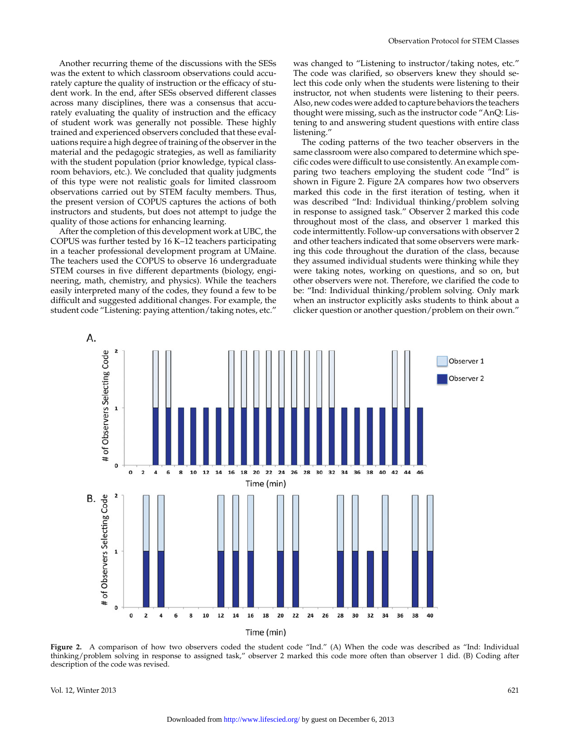Another recurring theme of the discussions with the SESs was the extent to which classroom observations could accurately capture the quality of instruction or the efficacy of student work. In the end, after SESs observed different classes across many disciplines, there was a consensus that accurately evaluating the quality of instruction and the efficacy of student work was generally not possible. These highly trained and experienced observers concluded that these evaluations require a high degree of training of the observer in the material and the pedagogic strategies, as well as familiarity with the student population (prior knowledge, typical classroom behaviors, etc.). We concluded that quality judgments of this type were not realistic goals for limited classroom observations carried out by STEM faculty members. Thus, the present version of COPUS captures the actions of both instructors and students, but does not attempt to judge the quality of those actions for enhancing learning.

After the completion of this development work at UBC, the COPUS was further tested by 16 K–12 teachers participating in a teacher professional development program at UMaine. The teachers used the COPUS to observe 16 undergraduate STEM courses in five different departments (biology, engineering, math, chemistry, and physics). While the teachers easily interpreted many of the codes, they found a few to be difficult and suggested additional changes. For example, the student code "Listening: paying attention/taking notes, etc."

was changed to "Listening to instructor/taking notes, etc." The code was clarified, so observers knew they should select this code only when the students were listening to their instructor, not when students were listening to their peers. Also, new codes were added to capture behaviors the teachers thought were missing, such as the instructor code "AnQ: Listening to and answering student questions with entire class listening."

The coding patterns of the two teacher observers in the same classroom were also compared to determine which specific codes were difficult to use consistently. An example comparing two teachers employing the student code "Ind" is shown in Figure 2. Figure 2A compares how two observers marked this code in the first iteration of testing, when it was described "Ind: Individual thinking/problem solving in response to assigned task." Observer 2 marked this code throughout most of the class, and observer 1 marked this code intermittently. Follow-up conversations with observer 2 and other teachers indicated that some observers were marking this code throughout the duration of the class, because they assumed individual students were thinking while they were taking notes, working on questions, and so on, but other observers were not. Therefore, we clarified the code to be: "Ind: Individual thinking/problem solving. Only mark when an instructor explicitly asks students to think about a clicker question or another question/problem on their own."



**Figure 2.** A comparison of how two observers coded the student code "Ind." (A) When the code was described as "Ind: Individual thinking/problem solving in response to assigned task," observer 2 marked this code more often than observer 1 did. (B) Coding after description of the code was revised.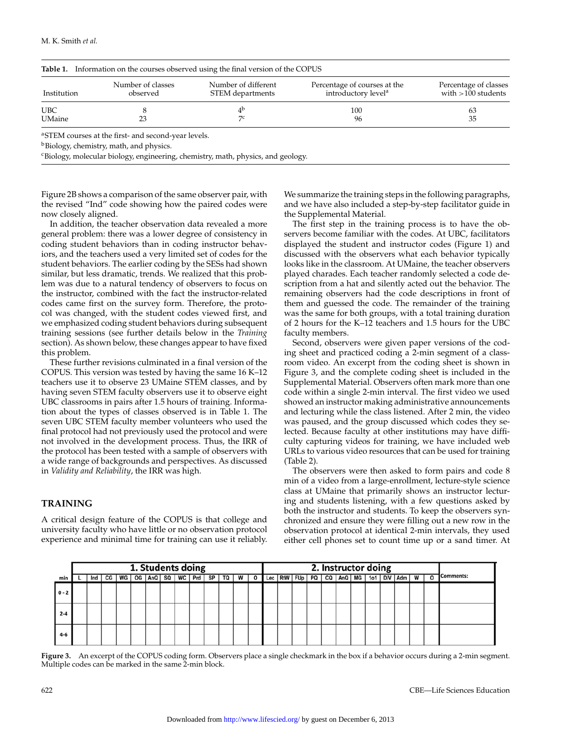| Institution   | Number of classes<br>observed | Number of different<br>STEM departments | Percentage of courses at the<br>introductory level <sup>a</sup> | Percentage of classes<br>with $>100$ students |
|---------------|-------------------------------|-----------------------------------------|-----------------------------------------------------------------|-----------------------------------------------|
| <b>UBC</b>    |                               | 4 <sup>b</sup>                          | 100                                                             | 63                                            |
| <b>UMaine</b> | 23                            | 70                                      | 96                                                              | 35                                            |

**b**Biology, chemistry, math, and physics.

<sup>c</sup>Biology, molecular biology, engineering, chemistry, math, physics, and geology.

Figure 2B shows a comparison of the same observer pair, with the revised "Ind" code showing how the paired codes were now closely aligned.

In addition, the teacher observation data revealed a more general problem: there was a lower degree of consistency in coding student behaviors than in coding instructor behaviors, and the teachers used a very limited set of codes for the student behaviors. The earlier coding by the SESs had shown similar, but less dramatic, trends. We realized that this problem was due to a natural tendency of observers to focus on the instructor, combined with the fact the instructor-related codes came first on the survey form. Therefore, the protocol was changed, with the student codes viewed first, and we emphasized coding student behaviors during subsequent training sessions (see further details below in the *Training* section). As shown below, these changes appear to have fixed this problem.

These further revisions culminated in a final version of the COPUS. This version was tested by having the same 16 K–12 teachers use it to observe 23 UMaine STEM classes, and by having seven STEM faculty observers use it to observe eight UBC classrooms in pairs after 1.5 hours of training. Information about the types of classes observed is in Table 1. The seven UBC STEM faculty member volunteers who used the final protocol had not previously used the protocol and were not involved in the development process. Thus, the IRR of the protocol has been tested with a sample of observers with a wide range of backgrounds and perspectives. As discussed in *Validity and Reliability*, the IRR was high.

### **TRAINING**

A critical design feature of the COPUS is that college and university faculty who have little or no observation protocol experience and minimal time for training can use it reliably. We summarize the training steps in the following paragraphs, and we have also included a step-by-step facilitator guide in the Supplemental Material.

The first step in the training process is to have the observers become familiar with the codes. At UBC, facilitators displayed the student and instructor codes (Figure 1) and discussed with the observers what each behavior typically looks like in the classroom. At UMaine, the teacher observers played charades. Each teacher randomly selected a code description from a hat and silently acted out the behavior. The remaining observers had the code descriptions in front of them and guessed the code. The remainder of the training was the same for both groups, with a total training duration of 2 hours for the K–12 teachers and 1.5 hours for the UBC faculty members.

Second, observers were given paper versions of the coding sheet and practiced coding a 2-min segment of a classroom video. An excerpt from the coding sheet is shown in Figure 3, and the complete coding sheet is included in the Supplemental Material. Observers often mark more than one code within a single 2-min interval. The first video we used showed an instructor making administrative announcements and lecturing while the class listened. After 2 min, the video was paused, and the group discussed which codes they selected. Because faculty at other institutions may have difficulty capturing videos for training, we have included web URLs to various video resources that can be used for training (Table 2).

The observers were then asked to form pairs and code 8 min of a video from a large-enrollment, lecture-style science class at UMaine that primarily shows an instructor lecturing and students listening, with a few questions asked by both the instructor and students. To keep the observers synchronized and ensure they were filling out a new row in the observation protocol at identical 2-min intervals, they used either cell phones set to count time up or a sand timer. At

|         | 1. Students doing |  |  |  |  |                                    |  |  |  |  |  | 2. Instructor doing |  |                                                                     |  |  |  |  |  |  |  |           |         |                  |
|---------|-------------------|--|--|--|--|------------------------------------|--|--|--|--|--|---------------------|--|---------------------------------------------------------------------|--|--|--|--|--|--|--|-----------|---------|------------------|
| min     |                   |  |  |  |  | Ind   CG   WG   OG   AnQ   SQ   WC |  |  |  |  |  |                     |  | Prd   SP   TQ   W   O    Lec   RtW   FUp   PQ   CQ   AnQ   MG   1o1 |  |  |  |  |  |  |  | D/V Adm W | $\circ$ | <b>Comments:</b> |
| $0 - 2$ |                   |  |  |  |  |                                    |  |  |  |  |  |                     |  |                                                                     |  |  |  |  |  |  |  |           |         |                  |
| $2 - 4$ |                   |  |  |  |  |                                    |  |  |  |  |  |                     |  |                                                                     |  |  |  |  |  |  |  |           |         |                  |
| $4-6$   |                   |  |  |  |  |                                    |  |  |  |  |  |                     |  |                                                                     |  |  |  |  |  |  |  |           |         |                  |

**Figure 3.** An excerpt of the COPUS coding form. Observers place a single checkmark in the box if a behavior occurs during a 2-min segment. Multiple codes can be marked in the same 2-min block.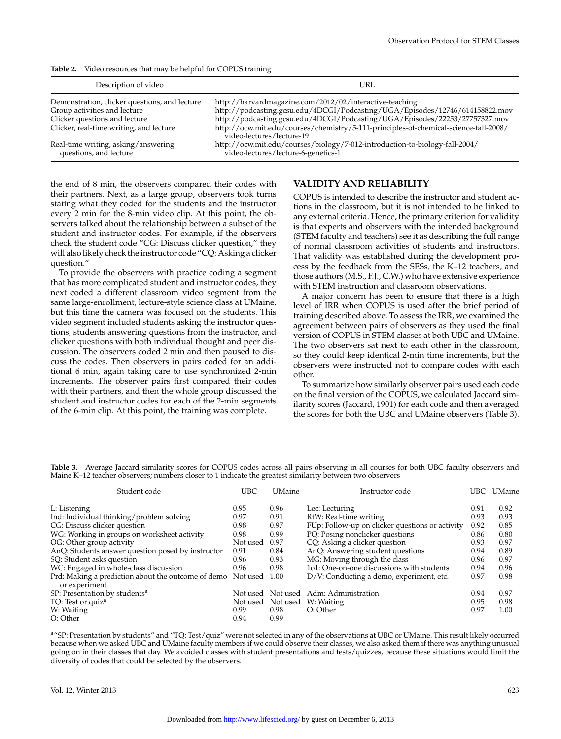| Table 2.<br>Video resources that may be helpful for COPUS training            |                                                                                                                                                                     |
|-------------------------------------------------------------------------------|---------------------------------------------------------------------------------------------------------------------------------------------------------------------|
| Description of video                                                          | URL                                                                                                                                                                 |
| Demonstration, clicker questions, and lecture<br>Group activities and lecture | http://harvardmagazine.com/2012/02/interactive-teaching<br>http://podcasting.gcsu.edu/4DCGI/Podcasting/UGA/Episodes/12746/614158822.mov                             |
| Clicker questions and lecture<br>Clicker, real-time writing, and lecture      | http://podcasting.gcsu.edu/4DCGI/Podcasting/UGA/Episodes/22253/27757327.mov<br>http://ocw.mit.edu/courses/chemistry/5-111-principles-of-chemical-science-fall-2008/ |
| Real-time writing, asking/answering<br>questions, and lecture                 | video-lectures/lecture-19<br>http://ocw.mit.edu/courses/biology/7-012-introduction-to-biology-fall-2004/<br>video-lectures/lecture-6-genetics-1                     |

**Table 2.** Video resources that may be helpful for COPUS training

the end of 8 min, the observers compared their codes with their partners. Next, as a large group, observers took turns stating what they coded for the students and the instructor every 2 min for the 8-min video clip. At this point, the observers talked about the relationship between a subset of the student and instructor codes. For example, if the observers check the student code "CG: Discuss clicker question," they will also likely check the instructor code "CQ: Asking a clicker question."

To provide the observers with practice coding a segment that has more complicated student and instructor codes, they next coded a different classroom video segment from the same large-enrollment, lecture-style science class at UMaine, but this time the camera was focused on the students. This video segment included students asking the instructor questions, students answering questions from the instructor, and clicker questions with both individual thought and peer discussion. The observers coded 2 min and then paused to discuss the codes. Then observers in pairs coded for an additional 6 min, again taking care to use synchronized 2-min increments. The observer pairs first compared their codes with their partners, and then the whole group discussed the student and instructor codes for each of the 2-min segments of the 6-min clip. At this point, the training was complete.

### **VALIDITY AND RELIABILITY**

COPUS is intended to describe the instructor and student actions in the classroom, but it is not intended to be linked to any external criteria. Hence, the primary criterion for validity is that experts and observers with the intended background (STEM faculty and teachers) see it as describing the full range of normal classroom activities of students and instructors. That validity was established during the development process by the feedback from the SESs, the K–12 teachers, and those authors (M.S., F.J., C.W.) who have extensive experience with STEM instruction and classroom observations.

A major concern has been to ensure that there is a high level of IRR when COPUS is used after the brief period of training described above. To assess the IRR, we examined the agreement between pairs of observers as they used the final version of COPUS in STEM classes at both UBC and UMaine. The two observers sat next to each other in the classroom, so they could keep identical 2-min time increments, but the observers were instructed not to compare codes with each other.

To summarize how similarly observer pairs used each code on the final version of the COPUS, we calculated Jaccard similarity scores (Jaccard, 1901) for each code and then averaged the scores for both the UBC and UMaine observers (Table 3).

**Table 3.** Average Jaccard similarity scores for COPUS codes across all pairs observing in all courses for both UBC faculty observers and Maine K–12 teacher observers; numbers closer to 1 indicate the greatest similarity between two observers

| Student code                                                        | <b>UBC</b>   | <b>UMaine</b> | Instructor code                                 | UBC - | <b>UMaine</b> |
|---------------------------------------------------------------------|--------------|---------------|-------------------------------------------------|-------|---------------|
| L: Listening                                                        | 0.95         | 0.96          | Lec: Lecturing                                  | 0.91  | 0.92          |
| Ind: Individual thinking/problem solving                            | 0.97         | 0.91          | RtW: Real-time writing                          | 0.93  | 0.93          |
| CG: Discuss clicker question                                        | 0.98         | 0.97          | FUp: Follow-up on clicker questions or activity | 0.92  | 0.85          |
| WG: Working in groups on worksheet activity                         | 0.98         | 0.99          | PQ: Posing nonclicker questions                 | 0.86  | 0.80          |
| OG: Other group activity                                            | Not used     | 0.97          | CQ: Asking a clicker question                   | 0.93  | 0.97          |
| AnQ: Students answer question posed by instructor                   | 0.91         | 0.84          | AnQ: Answering student questions                | 0.94  | 0.89          |
| SQ: Student asks question                                           | 0.96         | 0.93          | MG: Moving through the class                    | 0.96  | 0.97          |
| WC: Engaged in whole-class discussion                               | 0.96         | 0.98          | 101: One-on-one discussions with students       | 0.94  | 0.96          |
| Prd: Making a prediction about the outcome of demo<br>or experiment | Not used     | 1.00          | D/V: Conducting a demo, experiment, etc.        | 0.97  | 0.98          |
| SP: Presentation by students <sup>a</sup>                           | Not used     | Not used      | Adm: Administration                             | 0.94  | 0.97          |
| TQ: Test or quiz <sup>a</sup>                                       | Not used     | Not used      | W: Waiting                                      | 0.95  | 0.98          |
| W: Waiting<br>O: Other                                              | 0.99<br>0.94 | 0.98<br>0.99  | O: Other                                        | 0.97  | 1.00          |

a"SP: Presentation by students" and "TQ: Test/quiz" were not selected in any of the observations at UBC or UMaine. This result likely occurred because when we asked UBC and UMaine faculty members if we could observe their classes, we also asked them if there was anything unusual going on in their classes that day. We avoided classes with student presentations and tests/quizzes, because these situations would limit the diversity of codes that could be selected by the observers.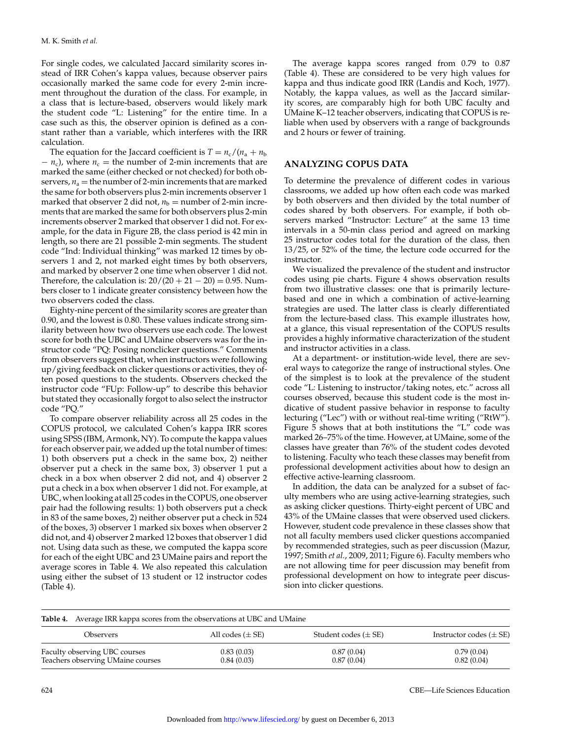For single codes, we calculated Jaccard similarity scores instead of IRR Cohen's kappa values, because observer pairs occasionally marked the same code for every 2-min increment throughout the duration of the class. For example, in a class that is lecture-based, observers would likely mark the student code "L: Listening" for the entire time. In a case such as this, the observer opinion is defined as a constant rather than a variable, which interferes with the IRR calculation.

The equation for the Jaccard coefficient is  $T = n_c/(n_a + n_b)$  $- n_c$ ), where  $n_c$  = the number of 2-min increments that are marked the same (either checked or not checked) for both observers,  $n_a$  = the number of 2-min increments that are marked the same for both observers plus 2-min increments observer 1 marked that observer 2 did not,  $n<sub>b</sub>$  = number of 2-min increments that are marked the same for both observers plus 2-min increments observer 2 marked that observer 1 did not. For example, for the data in Figure 2B, the class period is 42 min in length, so there are 21 possible 2-min segments. The student code "Ind: Individual thinking" was marked 12 times by observers 1 and 2, not marked eight times by both observers, and marked by observer 2 one time when observer 1 did not. Therefore, the calculation is:  $20/(20 + 21 - 20) = 0.95$ . Numbers closer to 1 indicate greater consistency between how the two observers coded the class.

Eighty-nine percent of the similarity scores are greater than 0.90, and the lowest is 0.80. These values indicate strong similarity between how two observers use each code. The lowest score for both the UBC and UMaine observers was for the instructor code "PQ: Posing nonclicker questions." Comments from observers suggest that, when instructors were following up/giving feedback on clicker questions or activities, they often posed questions to the students. Observers checked the instructor code "FUp: Follow-up" to describe this behavior but stated they occasionally forgot to also select the instructor code "PQ."

To compare observer reliability across all 25 codes in the COPUS protocol, we calculated Cohen's kappa IRR scores using SPSS (IBM, Armonk, NY). To compute the kappa values for each observer pair, we added up the total number of times: 1) both observers put a check in the same box, 2) neither observer put a check in the same box, 3) observer 1 put a check in a box when observer 2 did not, and 4) observer 2 put a check in a box when observer 1 did not. For example, at UBC, when looking at all 25 codes in the COPUS, one observer pair had the following results: 1) both observers put a check in 83 of the same boxes, 2) neither observer put a check in 524 of the boxes, 3) observer 1 marked six boxes when observer 2 did not, and 4) observer 2 marked 12 boxes that observer 1 did not. Using data such as these, we computed the kappa score for each of the eight UBC and 23 UMaine pairs and report the average scores in Table 4. We also repeated this calculation using either the subset of 13 student or 12 instructor codes (Table 4).

The average kappa scores ranged from 0.79 to 0.87 (Table 4). These are considered to be very high values for kappa and thus indicate good IRR (Landis and Koch, 1977). Notably, the kappa values, as well as the Jaccard similarity scores, are comparably high for both UBC faculty and UMaine K–12 teacher observers, indicating that COPUS is reliable when used by observers with a range of backgrounds and 2 hours or fewer of training.

#### **ANALYZING COPUS DATA**

To determine the prevalence of different codes in various classrooms, we added up how often each code was marked by both observers and then divided by the total number of codes shared by both observers. For example, if both observers marked "Instructor: Lecture" at the same 13 time intervals in a 50-min class period and agreed on marking 25 instructor codes total for the duration of the class, then 13/25, or 52% of the time, the lecture code occurred for the instructor.

We visualized the prevalence of the student and instructor codes using pie charts. Figure 4 shows observation results from two illustrative classes: one that is primarily lecturebased and one in which a combination of active-learning strategies are used. The latter class is clearly differentiated from the lecture-based class. This example illustrates how, at a glance, this visual representation of the COPUS results provides a highly informative characterization of the student and instructor activities in a class.

At a department- or institution-wide level, there are several ways to categorize the range of instructional styles. One of the simplest is to look at the prevalence of the student code "L*:* Listening to instructor/taking notes, etc." across all courses observed, because this student code is the most indicative of student passive behavior in response to faculty lecturing ("Lec") with or without real-time writing ("RtW"). Figure 5 shows that at both institutions the "L" code was marked 26–75% of the time. However, at UMaine, some of the classes have greater than 76% of the student codes devoted to listening. Faculty who teach these classes may benefit from professional development activities about how to design an effective active-learning classroom.

In addition, the data can be analyzed for a subset of faculty members who are using active-learning strategies, such as asking clicker questions. Thirty-eight percent of UBC and 43% of the UMaine classes that were observed used clickers. However, student code prevalence in these classes show that not all faculty members used clicker questions accompanied by recommended strategies, such as peer discussion (Mazur, 1997; Smith *et al.*, 2009, 2011; Figure 6). Faculty members who are not allowing time for peer discussion may benefit from professional development on how to integrate peer discussion into clicker questions.

|                                                                    | <b>Table 4.</b> Average IRR kappa scores from the observations at UBC and UMaine |                          |                             |  |  |  |  |  |  |
|--------------------------------------------------------------------|----------------------------------------------------------------------------------|--------------------------|-----------------------------|--|--|--|--|--|--|
| Observers                                                          | All codes $(\pm SE)$                                                             | Student codes $(\pm SE)$ | Instructor codes $(\pm SE)$ |  |  |  |  |  |  |
| Faculty observing UBC courses<br>Teachers observing UMaine courses | 0.83(0.03)<br>0.84(0.03)                                                         | 0.87(0.04)<br>0.87(0.04) | 0.79(0.04)<br>0.82(0.04)    |  |  |  |  |  |  |

624 CBE—Life Sciences Education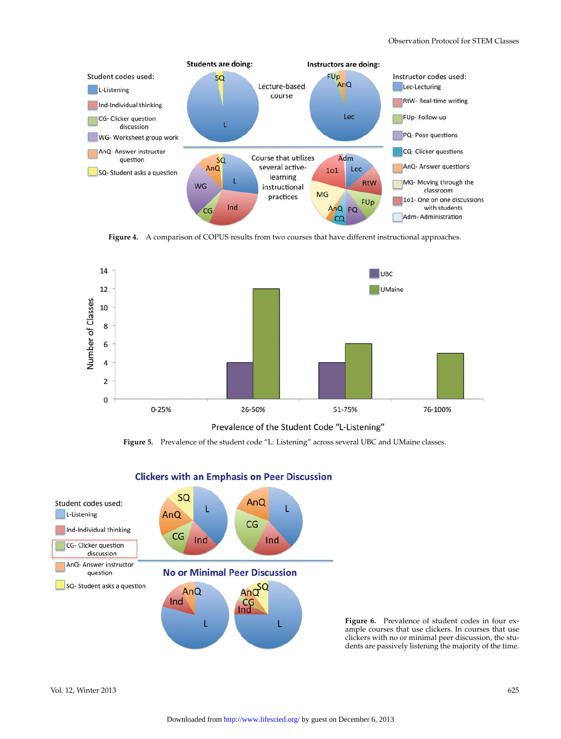

**Figure 4.** A comparison of COPUS results from two courses that have different instructional approaches.



Prevalence of the Student Code "L-Listening"

**Figure 5.** Prevalence of the student code "L: Listening" across several UBC and UMaine classes.



## **Clickers with an Emphasis on Peer Discussion**

**Figure 6.** Prevalence of student codes in four example courses that use clickers. In courses that use clickers with no or minimal peer discussion, the students are passively listening the majority of the time.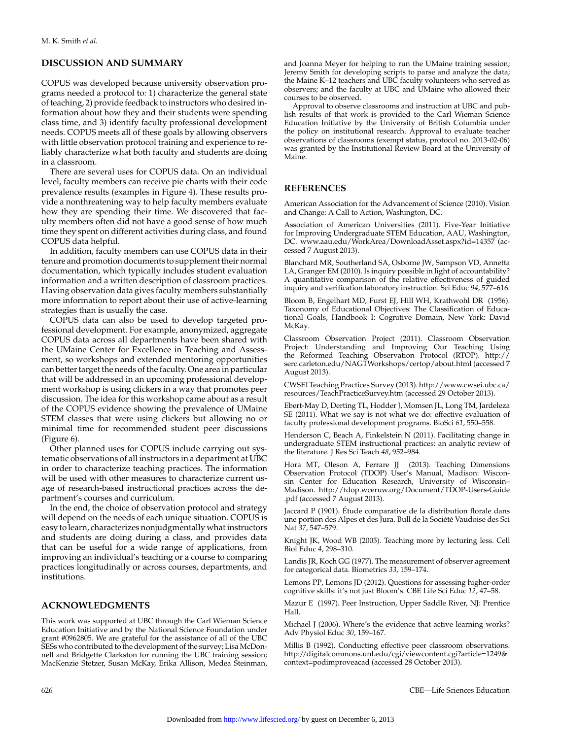## **DISCUSSION AND SUMMARY**

COPUS was developed because university observation programs needed a protocol to: 1) characterize the general state of teaching, 2) provide feedback to instructors who desired information about how they and their students were spending class time, and 3) identify faculty professional development needs. COPUS meets all of these goals by allowing observers with little observation protocol training and experience to reliably characterize what both faculty and students are doing in a classroom.

There are several uses for COPUS data. On an individual level, faculty members can receive pie charts with their code prevalence results (examples in Figure 4). These results provide a nonthreatening way to help faculty members evaluate how they are spending their time. We discovered that faculty members often did not have a good sense of how much time they spent on different activities during class, and found COPUS data helpful.

In addition, faculty members can use COPUS data in their tenure and promotion documents to supplement their normal documentation, which typically includes student evaluation information and a written description of classroom practices. Having observation data gives faculty members substantially more information to report about their use of active-learning strategies than is usually the case.

COPUS data can also be used to develop targeted professional development. For example, anonymized, aggregate COPUS data across all departments have been shared with the UMaine Center for Excellence in Teaching and Assessment, so workshops and extended mentoring opportunities can better target the needs of the faculty. One area in particular that will be addressed in an upcoming professional development workshop is using clickers in a way that promotes peer discussion. The idea for this workshop came about as a result of the COPUS evidence showing the prevalence of UMaine STEM classes that were using clickers but allowing no or minimal time for recommended student peer discussions (Figure 6).

Other planned uses for COPUS include carrying out systematic observations of all instructors in a department at UBC in order to characterize teaching practices. The information will be used with other measures to characterize current usage of research-based instructional practices across the department's courses and curriculum.

In the end, the choice of observation protocol and strategy will depend on the needs of each unique situation. COPUS is easy to learn, characterizes nonjudgmentally what instructors and students are doing during a class, and provides data that can be useful for a wide range of applications, from improving an individual's teaching or a course to comparing practices longitudinally or across courses, departments, and institutions.

## **ACKNOWLEDGMENTS**

This work was supported at UBC through the Carl Wieman Science Education Initiative and by the National Science Foundation under grant #0962805. We are grateful for the assistance of all of the UBC SESs who contributed to the development of the survey; Lisa McDonnell and Bridgette Clarkston for running the UBC training session; MacKenzie Stetzer, Susan McKay, Erika Allison, Medea Steinman, and Joanna Meyer for helping to run the UMaine training session; Jeremy Smith for developing scripts to parse and analyze the data; the Maine K–12 teachers and UBC faculty volunteers who served as observers; and the faculty at UBC and UMaine who allowed their courses to be observed.

Approval to observe classrooms and instruction at UBC and publish results of that work is provided to the Carl Wieman Science Education Initiative by the University of British Columbia under the policy on institutional research. Approval to evaluate teacher observations of classrooms (exempt status, protocol no. 2013-02-06) was granted by the Institutional Review Board at the University of Maine.

## **REFERENCES**

American Association for the Advancement of Science (2010). Vision and Change: A Call to Action, Washington, DC.

Association of American Universities (2011). Five-Year Initiative for Improving Undergraduate STEM Education, AAU, Washington, DC. [www.aau.edu/WorkArea/DownloadAsset.aspx?id=14357](http://www.aau.edu/WorkArea/DownloadAsset.aspx?id=14357) (accessed 7 August 2013).

Blanchard MR, Southerland SA, Osborne JW, Sampson VD, Annetta LA, Granger EM (2010). Is inquiry possible in light of accountability? A quantitative comparison of the relative effectiveness of guided inquiry and verification laboratory instruction. Sci Educ *94*, 577–616.

Bloom B, Engelhart MD, Furst EJ, Hill WH, Krathwohl DR (1956). Taxonomy of Educational Objectives: The Classification of Educational Goals, Handbook I: Cognitive Domain, New York: David McKay.

Classroom Observation Project (2011). Classroom Observation Project: Understanding and Improving Our Teaching Using the Reformed Teaching Observation Protocol (RTOP). [http://](http://serc.carleton.edu/NAGTWorkshops/certop/about.html) [serc.carleton.edu/NAGTWorkshops/certop/about.html](http://serc.carleton.edu/NAGTWorkshops/certop/about.html) (accessed 7 August 2013).

CWSEI Teaching Practices Survey (2013). [http://www.cwsei.ubc.ca/](http://www.cwsei.ubc.ca/resources/TeachPracticeSurvey.htm) [resources/TeachPracticeSurvey.htm](http://www.cwsei.ubc.ca/resources/TeachPracticeSurvey.htm) (accessed 29 October 2013).

Ebert-May D, Derting TL, Hodder J, Momsen JL, Long TM, Jardeleza SE (2011). What we say is not what we do: effective evaluation of faculty professional development programs. BioSci *61*, 550–558.

Henderson C, Beach A, Finkelstein N (2011). Facilitating change in undergraduate STEM instructional practices: an analytic review of the literature. J Res Sci Teach *48*, 952–984.

Hora MT, Oleson A, Ferrare JJ (2013). Teaching Dimensions Observation Protocol (TDOP) User's Manual, Madison: Wisconsin Center for Education Research, University of Wisconsin– Madison. [http://tdop.wceruw.org/Document/TDOP-Users-Guide](http://tdop.wceruw.org/Document/TDOP-Users-Guide.pdf) [.pdf \(accessed 7 August 2013\).](http://tdop.wceruw.org/Document/TDOP-Users-Guide.pdf)

Jaccard P (1901). Etude comparative de la distribution florale dans ´ une portion des Alpes et des Jura. Bull de la Société Vaudoise des Sci Nat *37*, 547–579.

Knight JK, Wood WB (2005). Teaching more by lecturing less. Cell Biol Educ *4*, 298–310.

Landis JR, Koch GG (1977). The measurement of observer agreement for categorical data. Biometrics *33*, 159–174.

Lemons PP, Lemons JD (2012). Questions for assessing higher-order cognitive skills: it's not just Bloom's. CBE Life Sci Educ *12*, 47–58.

Mazur E (1997). Peer Instruction, Upper Saddle River, NJ: Prentice Hall.

Michael J (2006). Where's the evidence that active learning works? Adv Physiol Educ *30*, 159–167.

Millis B (1992). Conducting effective peer classroom observations. [http://digitalcommons.unl.edu/cgi/viewcontent.cgi?article=1249&](http://digitalcommons.unl.edu/cgi/viewcontent.cgi?article=1249&context=podimproveacad) [context=podimproveacad](http://digitalcommons.unl.edu/cgi/viewcontent.cgi?article=1249&context=podimproveacad) (accessed 28 October 2013).